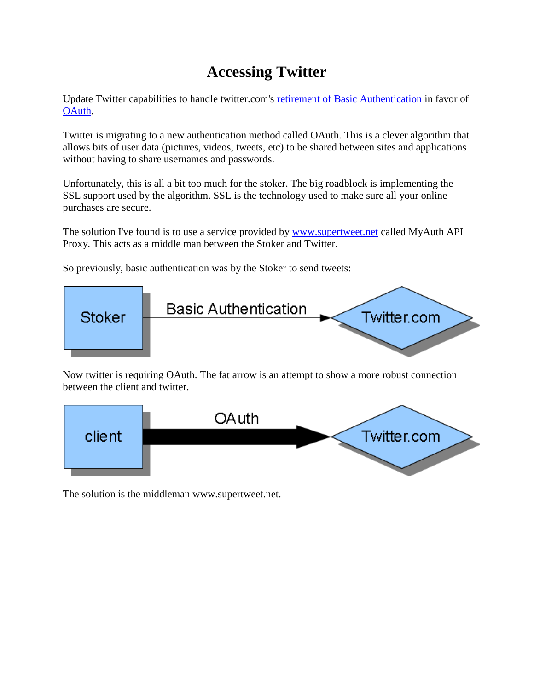## **Accessing Twitter**

Update Twitter capabilities to handle twitter.com's [retirement of Basic Authentication](http://groups.google.com/group/twitter-api-announce/browse_thread/thread/c03fa2b1ae90d2a9?hl=en) in favor of [OAuth.](http://dev.twitter.com/pages/oauth_faq)

Twitter is migrating to a new authentication method called OAuth. This is a clever algorithm that allows bits of user data (pictures, videos, tweets, etc) to be shared between sites and applications without having to share usernames and passwords.

Unfortunately, this is all a bit too much for the stoker. The big roadblock is implementing the SSL support used by the algorithm. SSL is the technology used to make sure all your online purchases are secure.

The solution I've found is to use a service provided by [www.supertweet.net](http://kaytat.com/www.supertweet.net) called MyAuth API Proxy. This acts as a middle man between the Stoker and Twitter.

So previously, basic authentication was by the Stoker to send tweets:



Now twitter is requiring OAuth. The fat arrow is an attempt to show a more robust connection between the client and twitter.



The solution is the middleman www.supertweet.net.